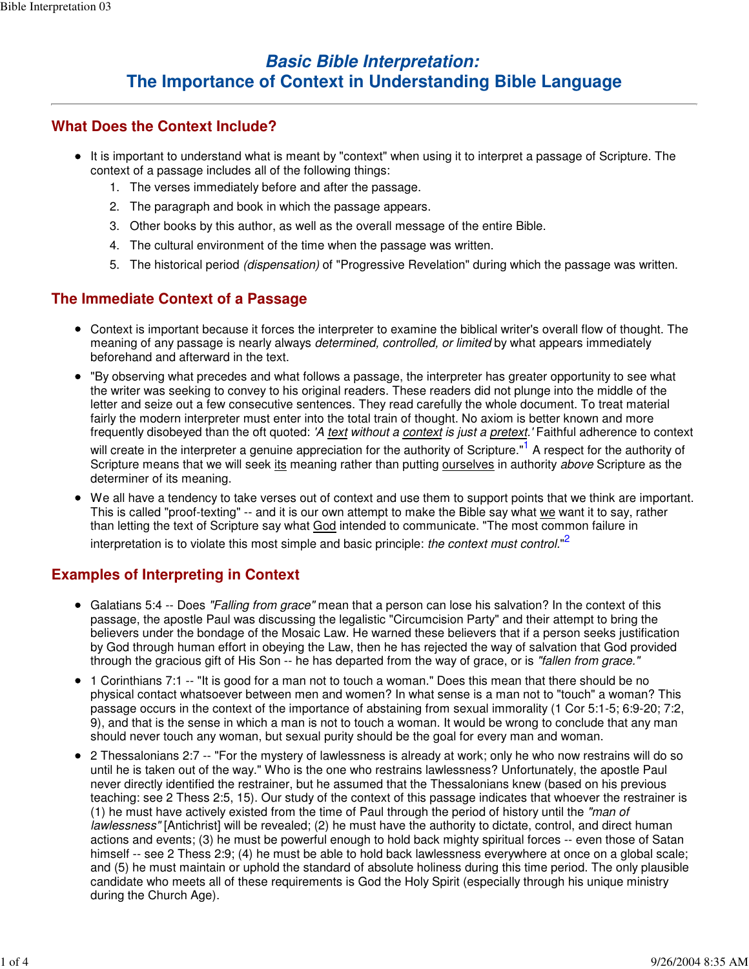# **Basic Bible Interpretation: The Importance of Context in Understanding Bible Language**

#### **What Does the Context Include?**

- It is important to understand what is meant by "context" when using it to interpret a passage of Scripture. The context of a passage includes all of the following things:
	- 1. The verses immediately before and after the passage.
	- 2. The paragraph and book in which the passage appears.
	- 3. Other books by this author, as well as the overall message of the entire Bible.
	- 4. The cultural environment of the time when the passage was written.
	- 5. The historical period *(dispensation)* of "Progressive Revelation" during which the passage was written.

### **The Immediate Context of a Passage**

- Context is important because it forces the interpreter to examine the biblical writer's overall flow of thought. The meaning of any passage is nearly always determined, controlled, or limited by what appears immediately beforehand and afterward in the text.
- "By observing what precedes and what follows a passage, the interpreter has greater opportunity to see what the writer was seeking to convey to his original readers. These readers did not plunge into the middle of the letter and seize out a few consecutive sentences. They read carefully the whole document. To treat material fairly the modern interpreter must enter into the total train of thought. No axiom is better known and more frequently disobeyed than the oft quoted: 'A text without a context is just a pretext.' Faithful adherence to context

will create in the interpreter a genuine appreciation for the authority of Scripture."<sup>1</sup> A respect for the authority of Scripture means that we will seek its meaning rather than putting ourselves in authority above Scripture as the determiner of its meaning.

We all have a tendency to take verses out of context and use them to support points that we think are important. This is called "proof-texting" -- and it is our own attempt to make the Bible say what we want it to say, rather than letting the text of Scripture say what God intended to communicate. "The most common failure in interpretation is to violate this most simple and basic principle: *the context must control.*"<sup>2</sup>

### **Examples of Interpreting in Context**

- Galatians 5:4 -- Does "Falling from grace" mean that a person can lose his salvation? In the context of this passage, the apostle Paul was discussing the legalistic "Circumcision Party" and their attempt to bring the believers under the bondage of the Mosaic Law. He warned these believers that if a person seeks justification by God through human effort in obeying the Law, then he has rejected the way of salvation that God provided through the gracious gift of His Son -- he has departed from the way of grace, or is "fallen from grace."
- 1 Corinthians 7:1 -- "It is good for a man not to touch a woman." Does this mean that there should be no physical contact whatsoever between men and women? In what sense is a man not to "touch" a woman? This passage occurs in the context of the importance of abstaining from sexual immorality (1 Cor 5:1-5; 6:9-20; 7:2, 9), and that is the sense in which a man is not to touch a woman. It would be wrong to conclude that any man should never touch any woman, but sexual purity should be the goal for every man and woman.
- 2 Thessalonians 2:7 -- "For the mystery of lawlessness is already at work; only he who now restrains will do so until he is taken out of the way." Who is the one who restrains lawlessness? Unfortunately, the apostle Paul never directly identified the restrainer, but he assumed that the Thessalonians knew (based on his previous teaching: see 2 Thess 2:5, 15). Our study of the context of this passage indicates that whoever the restrainer is  $(1)$  he must have actively existed from the time of Paul through the period of history until the "man of lawlessness" [Antichrist] will be revealed; (2) he must have the authority to dictate, control, and direct human actions and events; (3) he must be powerful enough to hold back mighty spiritual forces -- even those of Satan himself -- see 2 Thess 2:9; (4) he must be able to hold back lawlessness everywhere at once on a global scale; and (5) he must maintain or uphold the standard of absolute holiness during this time period. The only plausible candidate who meets all of these requirements is God the Holy Spirit (especially through his unique ministry during the Church Age).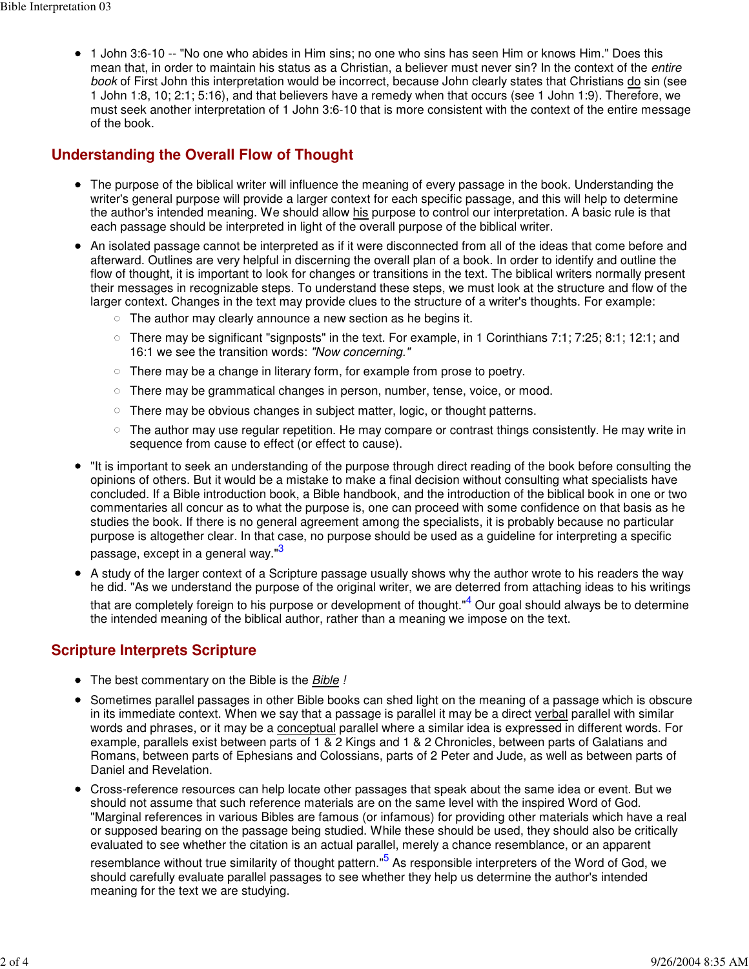1 John 3:6-10 -- "No one who abides in Him sins; no one who sins has seen Him or knows Him." Does this mean that, in order to maintain his status as a Christian, a believer must never sin? In the context of the entire book of First John this interpretation would be incorrect, because John clearly states that Christians do sin (see 1 John 1:8, 10; 2:1; 5:16), and that believers have a remedy when that occurs (see 1 John 1:9). Therefore, we must seek another interpretation of 1 John 3:6-10 that is more consistent with the context of the entire message of the book.

### **Understanding the Overall Flow of Thought**

- The purpose of the biblical writer will influence the meaning of every passage in the book. Understanding the writer's general purpose will provide a larger context for each specific passage, and this will help to determine the author's intended meaning. We should allow his purpose to control our interpretation. A basic rule is that each passage should be interpreted in light of the overall purpose of the biblical writer.
- An isolated passage cannot be interpreted as if it were disconnected from all of the ideas that come before and afterward. Outlines are very helpful in discerning the overall plan of a book. In order to identify and outline the flow of thought, it is important to look for changes or transitions in the text. The biblical writers normally present their messages in recognizable steps. To understand these steps, we must look at the structure and flow of the larger context. Changes in the text may provide clues to the structure of a writer's thoughts. For example:
	- $\circ$  The author may clearly announce a new section as he begins it.
	- $\circ$  There may be significant "signposts" in the text. For example, in 1 Corinthians 7:1; 7:25; 8:1; 12:1; and 16:1 we see the transition words: "Now concerning."
	- $\circ$  There may be a change in literary form, for example from prose to poetry.
	- $\circ$  There may be grammatical changes in person, number, tense, voice, or mood.
	- There may be obvious changes in subject matter, logic, or thought patterns.
	- $\circ$  The author may use regular repetition. He may compare or contrast things consistently. He may write in sequence from cause to effect (or effect to cause).
- "It is important to seek an understanding of the purpose through direct reading of the book before consulting the opinions of others. But it would be a mistake to make a final decision without consulting what specialists have concluded. If a Bible introduction book, a Bible handbook, and the introduction of the biblical book in one or two commentaries all concur as to what the purpose is, one can proceed with some confidence on that basis as he studies the book. If there is no general agreement among the specialists, it is probably because no particular purpose is altogether clear. In that case, no purpose should be used as a guideline for interpreting a specific passage, except in a general way."<sup>3</sup>
- A study of the larger context of a Scripture passage usually shows why the author wrote to his readers the way he did. "As we understand the purpose of the original writer, we are deterred from attaching ideas to his writings that are completely foreign to his purpose or development of thought."<sup>4</sup> Our goal should always be to determine the intended meaning of the biblical author, rather than a meaning we impose on the text.

### **Scripture Interprets Scripture**

- The best commentary on the Bible is the Bible !
- Sometimes parallel passages in other Bible books can shed light on the meaning of a passage which is obscure in its immediate context. When we say that a passage is parallel it may be a direct verbal parallel with similar words and phrases, or it may be a conceptual parallel where a similar idea is expressed in different words. For example, parallels exist between parts of 1 & 2 Kings and 1 & 2 Chronicles, between parts of Galatians and Romans, between parts of Ephesians and Colossians, parts of 2 Peter and Jude, as well as between parts of Daniel and Revelation.
- Cross-reference resources can help locate other passages that speak about the same idea or event. But we should not assume that such reference materials are on the same level with the inspired Word of God. "Marginal references in various Bibles are famous (or infamous) for providing other materials which have a real or supposed bearing on the passage being studied. While these should be used, they should also be critically evaluated to see whether the citation is an actual parallel, merely a chance resemblance, or an apparent

resemblance without true similarity of thought pattern."<sup>5</sup> As responsible interpreters of the Word of God, we should carefully evaluate parallel passages to see whether they help us determine the author's intended meaning for the text we are studying.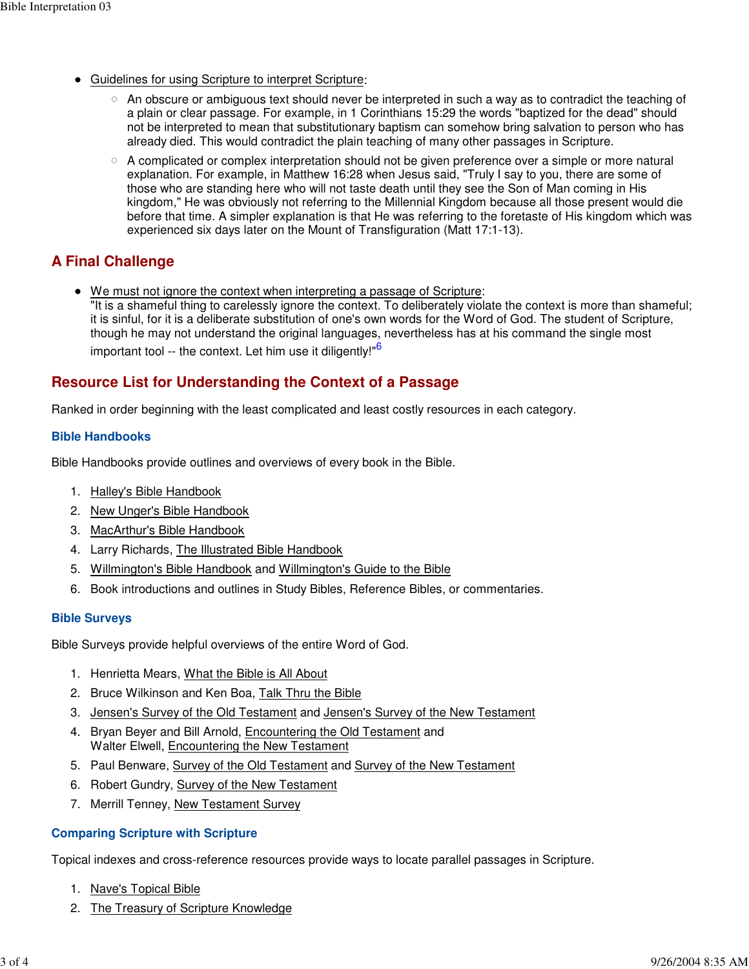- Guidelines for using Scripture to interpret Scripture:
	- $\circ$  An obscure or ambiguous text should never be interpreted in such a way as to contradict the teaching of a plain or clear passage. For example, in 1 Corinthians 15:29 the words "baptized for the dead" should not be interpreted to mean that substitutionary baptism can somehow bring salvation to person who has already died. This would contradict the plain teaching of many other passages in Scripture.
	- $\circ$  A complicated or complex interpretation should not be given preference over a simple or more natural explanation. For example, in Matthew 16:28 when Jesus said, "Truly I say to you, there are some of those who are standing here who will not taste death until they see the Son of Man coming in His kingdom," He was obviously not referring to the Millennial Kingdom because all those present would die before that time. A simpler explanation is that He was referring to the foretaste of His kingdom which was experienced six days later on the Mount of Transfiguration (Matt 17:1-13).

## **A Final Challenge**

We must not ignore the context when interpreting a passage of Scripture: "It is a shameful thing to carelessly ignore the context. To deliberately violate the context is more than shameful; it is sinful, for it is a deliberate substitution of one's own words for the Word of God. The student of Scripture, though he may not understand the original languages, nevertheless has at his command the single most important tool -- the context. Let him use it diligently!"<sup>6</sup>

### **Resource List for Understanding the Context of a Passage**

Ranked in order beginning with the least complicated and least costly resources in each category.

#### **Bible Handbooks**

Bible Handbooks provide outlines and overviews of every book in the Bible.

- 1. Halley's Bible Handbook
- 2. New Unger's Bible Handbook
- 3. MacArthur's Bible Handbook
- 4. Larry Richards, The Illustrated Bible Handbook
- 5. Willmington's Bible Handbook and Willmington's Guide to the Bible
- 6. Book introductions and outlines in Study Bibles, Reference Bibles, or commentaries.

#### **Bible Surveys**

Bible Surveys provide helpful overviews of the entire Word of God.

- 1. Henrietta Mears, What the Bible is All About
- 2. Bruce Wilkinson and Ken Boa, Talk Thru the Bible
- 3. Jensen's Survey of the Old Testament and Jensen's Survey of the New Testament
- 4. Bryan Beyer and Bill Arnold, Encountering the Old Testament and Walter Elwell, Encountering the New Testament
- 5. Paul Benware, Survey of the Old Testament and Survey of the New Testament
- 6. Robert Gundry, Survey of the New Testament
- 7. Merrill Tenney, New Testament Survey

#### **Comparing Scripture with Scripture**

Topical indexes and cross-reference resources provide ways to locate parallel passages in Scripture.

- 1. Nave's Topical Bible
- 2. The Treasury of Scripture Knowledge